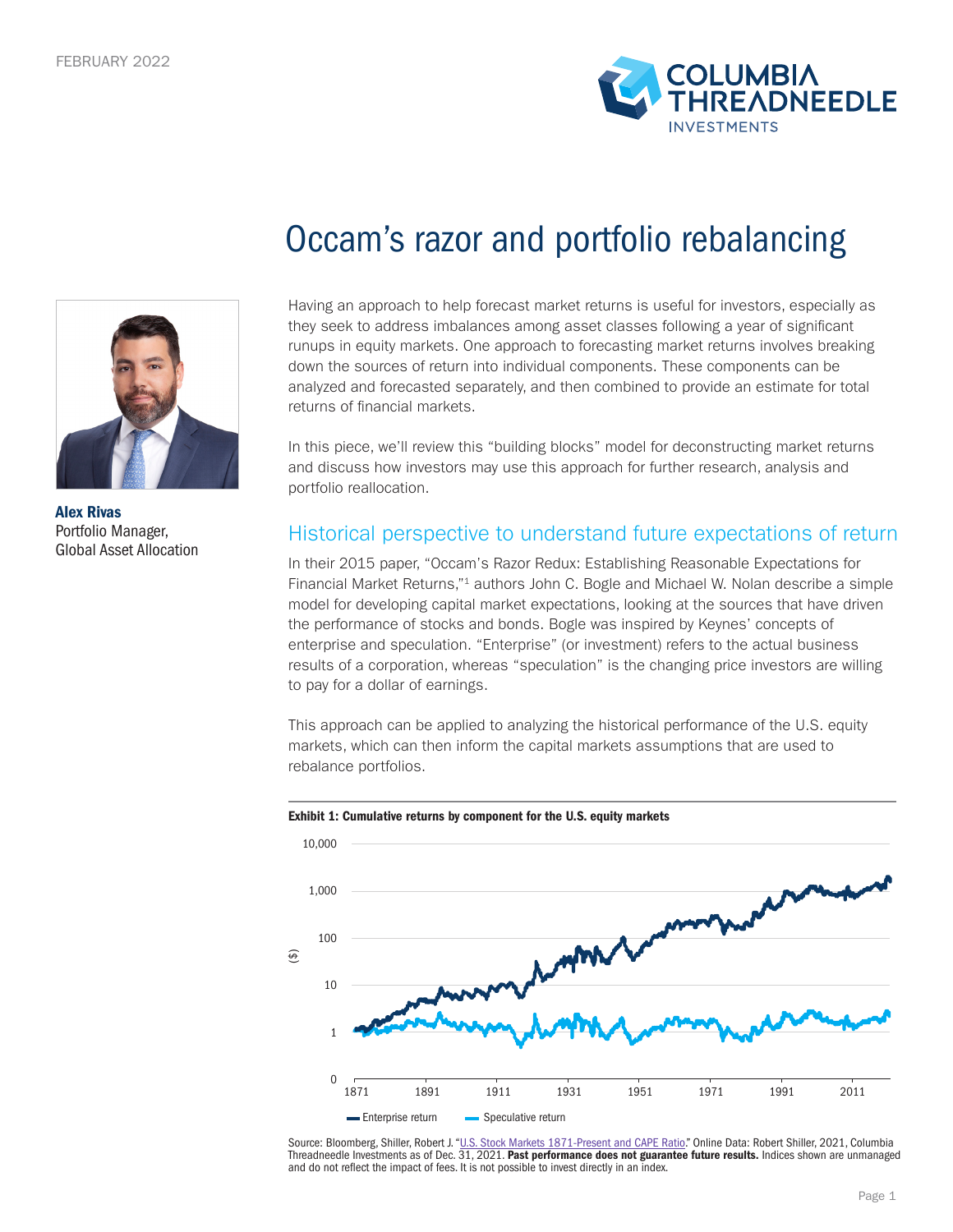



Occam's razor and portfolio rebalancing

Having an approach to help forecast market returns is useful for investors, especially as they seek to address imbalances among asset classes following a year of significant runups in equity markets. One approach to forecasting market returns involves breaking down the sources of return into individual components. These components can be analyzed and forecasted separately, and then combined to provide an estimate for total returns of financial markets.

In this piece, we'll review this "building blocks" model for deconstructing market returns and discuss how investors may use this approach for further research, analysis and portfolio reallocation.

Historical perspective to understand future expectations of return

In their 2015 paper, "Occam's Razor Redux: Establishing Reasonable Expectations for Financial Market Returns,"1 authors John C. Bogle and Michael W. Nolan describe a simple model for developing capital market expectations, looking at the sources that have driven the performance of stocks and bonds. Bogle was inspired by Keynes' concepts of enterprise and speculation. "Enterprise" (or investment) refers to the actual business results of a corporation, whereas "speculation" is the changing price investors are willing to pay for a dollar of earnings.

This approach can be applied to analyzing the historical performance of the U.S. equity markets, which can then inform the capital markets assumptions that are used to rebalance portfolios.



### Exhibit 1: Cumulative returns by component for the U.S. equity markets

Source: Bloomberg, Shiller, Robert J. "<u>U.S. Stock Markets 1871-Present and CAPE Ratio</u>." Online Data: Robert Shiller, 2021, Columbia<br>Threadneedle Investments as of Dec. 31, 2021. **Past performance does not guarantee futur** and do not reflect the impact of fees. It is not possible to invest directly in an index.

Alex Rivas Portfolio Manager, Global Asset Allocation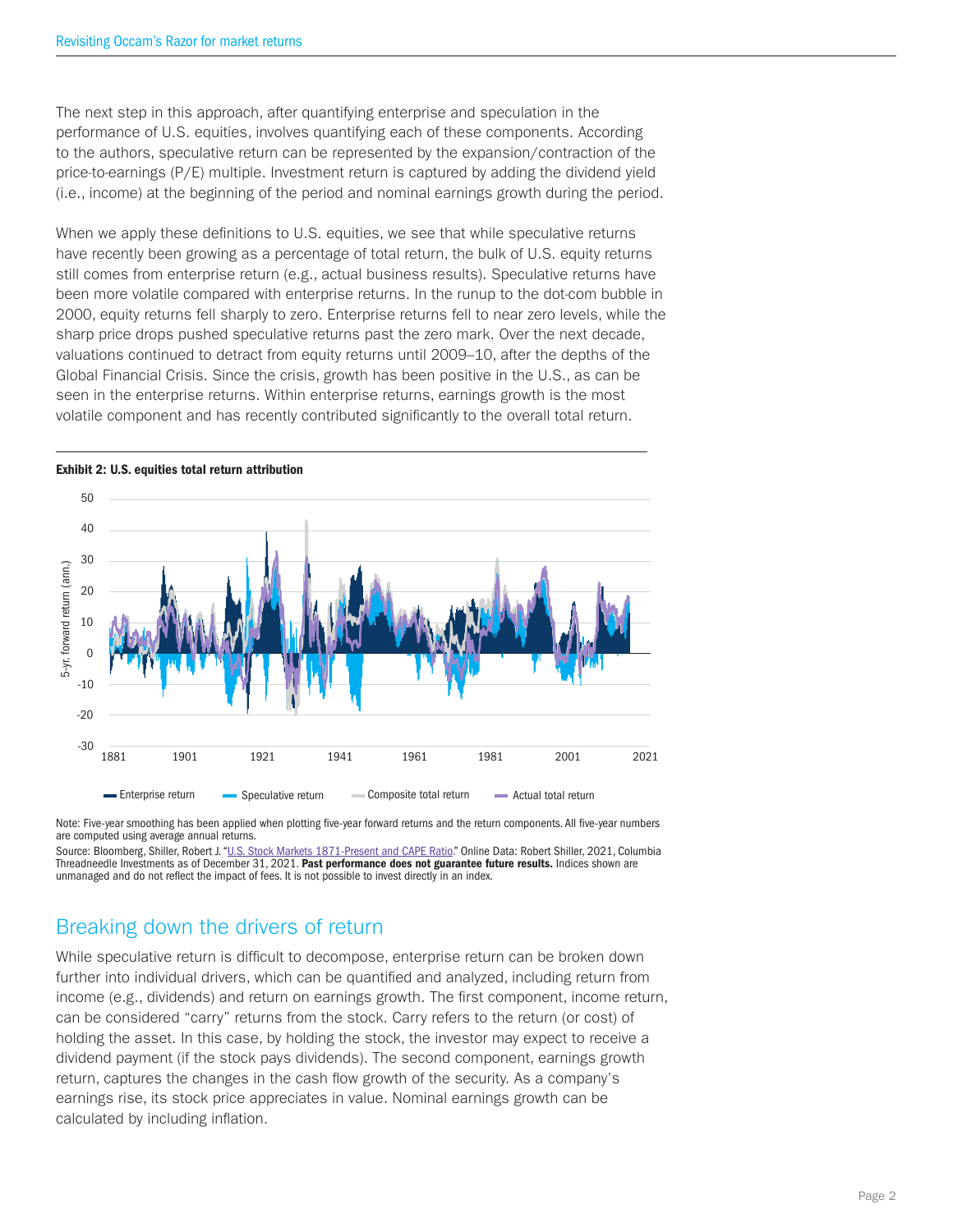The next step in this approach, after quantifying enterprise and speculation in the performance of U.S. equities, involves quantifying each of these components. According to the authors, speculative return can be represented by the expansion/contraction of the price-to-earnings (P/E) multiple. Investment return is captured by adding the dividend yield (i.e., income) at the beginning of the period and nominal earnings growth during the period.

When we apply these definitions to U.S. equities, we see that while speculative returns have recently been growing as a percentage of total return, the bulk of U.S. equity returns still comes from enterprise return (e.g., actual business results). Speculative returns have been more volatile compared with enterprise returns. In the runup to the dot-com bubble in 2000, equity returns fell sharply to zero. Enterprise returns fell to near zero levels, while the sharp price drops pushed speculative returns past the zero mark. Over the next decade, valuations continued to detract from equity returns until 2009–10, after the depths of the Global Financial Crisis. Since the crisis, growth has been positive in the U.S., as can be seen in the enterprise returns. Within enterprise returns, earnings growth is the most volatile component and has recently contributed significantly to the overall total return.



Note: Five-year smoothing has been applied when plotting five-year forward returns and the return components. All five-year numbers are computed using average annual returns.

Source: Bloomberg, Shiller, Robert J. "U.S. Stock Markets 1871-Present and CAPE Ratio." Online Data: Robert Shiller, 2021, Columbia Threadneedle Investments as of December 31, 2021. Past performance does not guarantee future results. Indices shown are unmanaged and do not reflect the impact of fees. It is not possible to invest directly in an index.

## Breaking down the drivers of return

While speculative return is difficult to decompose, enterprise return can be broken down further into individual drivers, which can be quantified and analyzed, including return from income (e.g., dividends) and return on earnings growth. The first component, income return, can be considered "carry" returns from the stock. Carry refers to the return (or cost) of holding the asset. In this case, by holding the stock, the investor may expect to receive a dividend payment (if the stock pays dividends). The second component, earnings growth return, captures the changes in the cash flow growth of the security. As a company's earnings rise, its stock price appreciates in value. Nominal earnings growth can be calculated by including inflation.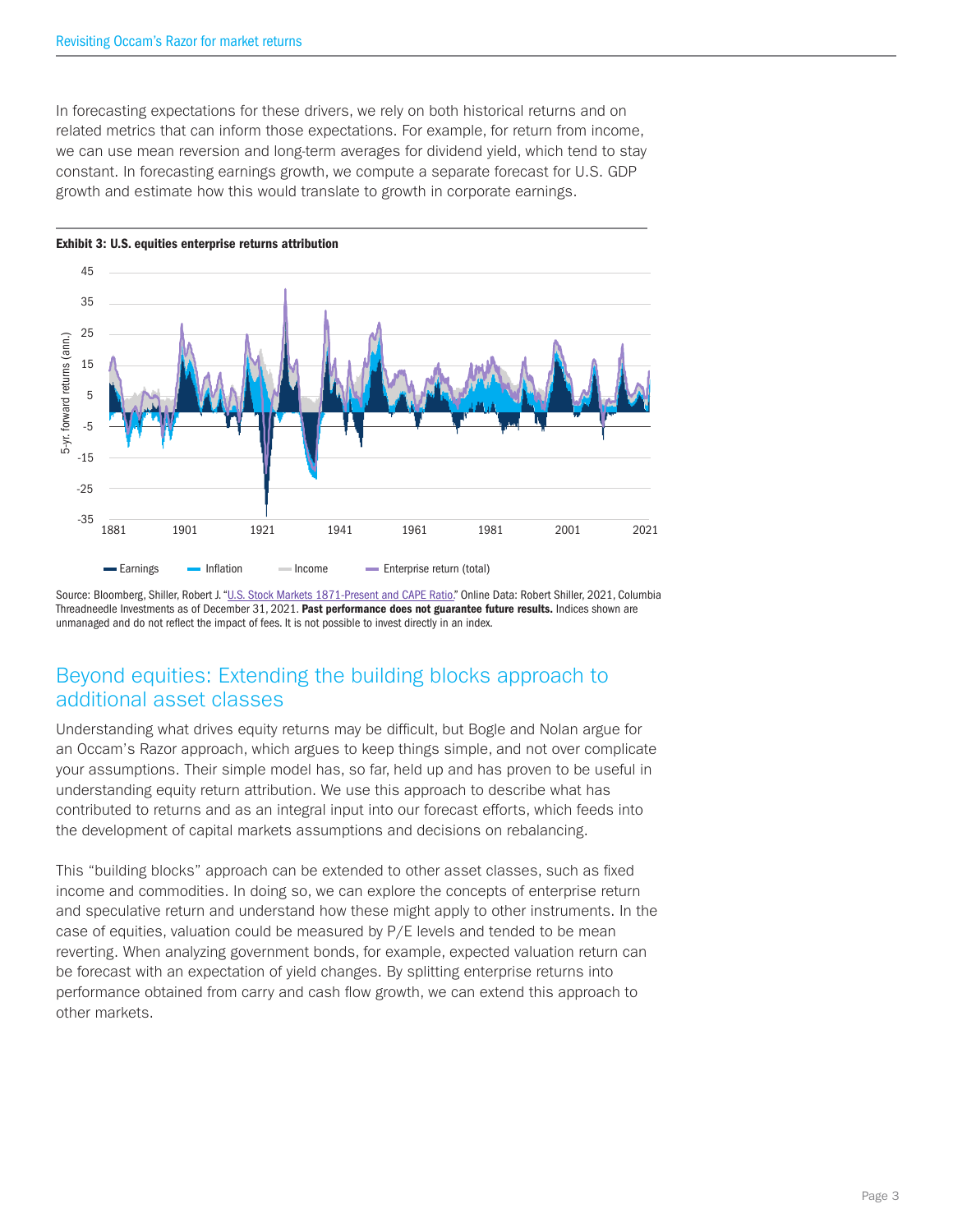In forecasting expectations for these drivers, we rely on both historical returns and on related metrics that can inform those expectations. For example, for return from income, we can use mean reversion and long-term averages for dividend yield, which tend to stay constant. In forecasting earnings growth, we compute a separate forecast for U.S. GDP growth and estimate how this would translate to growth in corporate earnings.



Source: Bloomberg, Shiller, Robert J. "U.S. Stock Markets 1871-Present and CAPE Ratio." Online Data: Robert Shiller, 2021, Columbia Threadneedle Investments as of December 31, 2021. Past performance does not guarantee future results. Indices shown are unmanaged and do not reflect the impact of fees. It is not possible to invest directly in an index.

# Beyond equities: Extending the building blocks approach to additional asset classes

Understanding what drives equity returns may be difficult, but Bogle and Nolan argue for an Occam's Razor approach, which argues to keep things simple, and not over complicate your assumptions. Their simple model has, so far, held up and has proven to be useful in understanding equity return attribution. We use this approach to describe what has contributed to returns and as an integral input into our forecast efforts, which feeds into the development of capital markets assumptions and decisions on rebalancing.

This "building blocks" approach can be extended to other asset classes, such as fixed income and commodities. In doing so, we can explore the concepts of enterprise return and speculative return and understand how these might apply to other instruments. In the case of equities, valuation could be measured by P/E levels and tended to be mean reverting. When analyzing government bonds, for example, expected valuation return can be forecast with an expectation of yield changes. By splitting enterprise returns into performance obtained from carry and cash flow growth, we can extend this approach to other markets.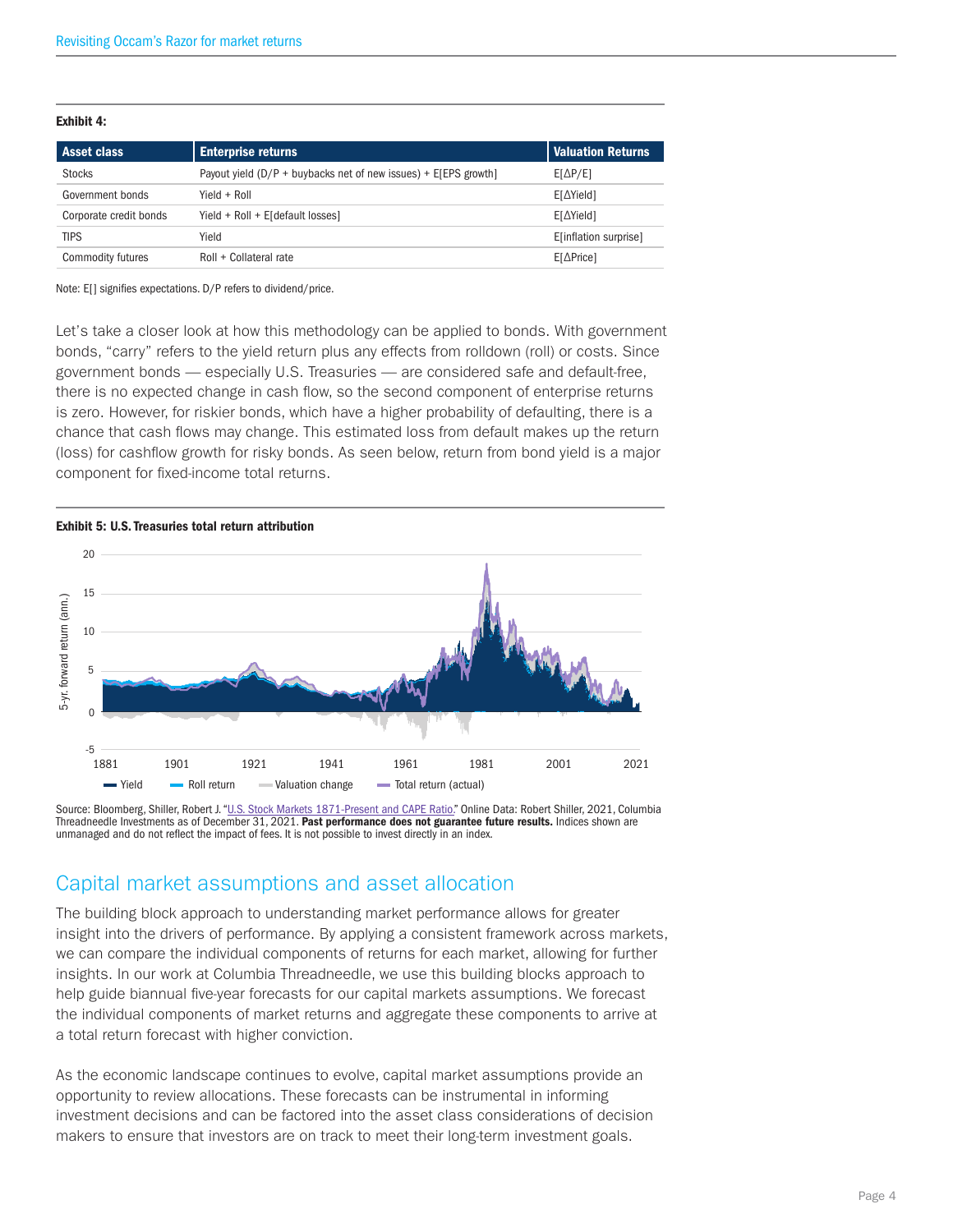### Exhibit 4:

| <b>Asset class</b>     | <b>Enterprise returns</b>                                         | Valuation Returns     |
|------------------------|-------------------------------------------------------------------|-----------------------|
| <b>Stocks</b>          | Payout yield $(D/P +$ buybacks net of new issues) + E[EPS growth] | $E[\Delta P/E]$       |
| Government bonds       | $Yield + Roll$                                                    | E[∆Yield]             |
| Corporate credit bonds | Yield + Roll + E[default losses]                                  | E[∆Yield]             |
| <b>TIPS</b>            | Yield                                                             | E[inflation surprise] |
| Commodity futures      | Roll + Collateral rate                                            | $E[\Delta$ Price]     |

Note: E[] signifies expectations. D/P refers to dividend/price.

Let's take a closer look at how this methodology can be applied to bonds. With government bonds, "carry" refers to the yield return plus any effects from rolldown (roll) or costs. Since government bonds — especially U.S. Treasuries — are considered safe and default-free, there is no expected change in cash flow, so the second component of enterprise returns is zero. However, for riskier bonds, which have a higher probability of defaulting, there is a chance that cash flows may change. This estimated loss from default makes up the return (loss) for cashflow growth for risky bonds. As seen below, return from bond yield is a major component for fixed-income total returns.



Source: Bloomberg, Shiller, Robert J. "U.S. Stock Markets 1871-Present and CAPE Ratio." Online Data: Robert Shiller, 2021, Columbia Threadneedle Investments as of December 31, 2021. Past performance does not guarantee future results. Indices shown are unmanaged and do not reflect the impact of fees. It is not possible to invest directly in an index.

## Capital market assumptions and asset allocation

The building block approach to understanding market performance allows for greater insight into the drivers of performance. By applying a consistent framework across markets, we can compare the individual components of returns for each market, allowing for further insights. In our work at Columbia Threadneedle, we use this building blocks approach to help guide biannual five-year forecasts for our capital markets assumptions. We forecast the individual components of market returns and aggregate these components to arrive at a total return forecast with higher conviction.

As the economic landscape continues to evolve, capital market assumptions provide an opportunity to review allocations. These forecasts can be instrumental in informing investment decisions and can be factored into the asset class considerations of decision makers to ensure that investors are on track to meet their long-term investment goals.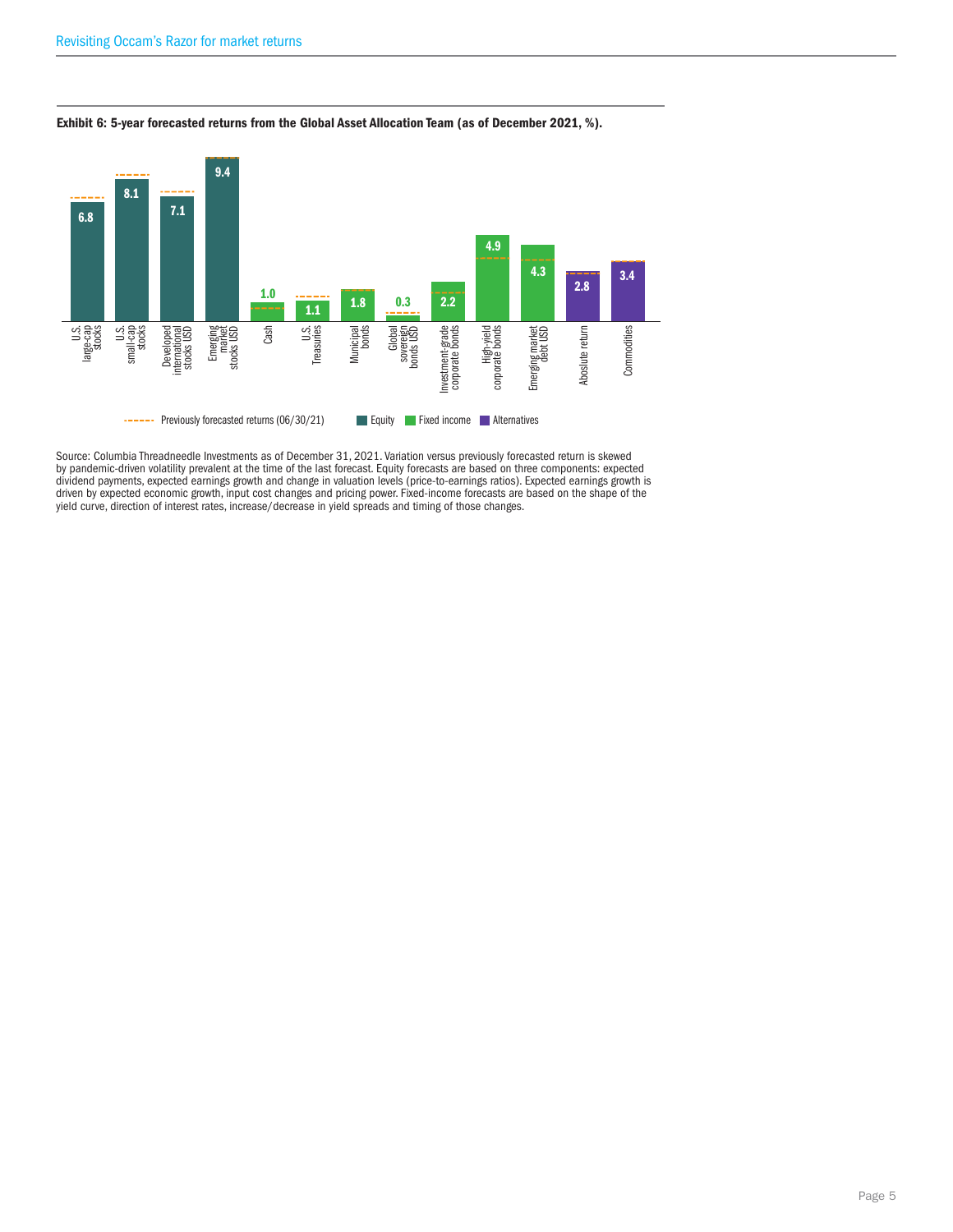

### Exhibit 6: 5-year forecasted returns from the Global Asset Allocation Team (as of December 2021, %).

Source: Columbia Threadneedle Investments as of December 31, 2021. Variation versus previously forecasted return is skewed by pandemic-driven volatility prevalent at the time of the last forecast. Equity forecasts are based on three components: expected dividend payments, expected earnings growth and change in valuation levels (price-to-earnings ratios). Expected earnings growth is driven by expected economic growth, input cost changes and pricing power. Fixed-income forecasts are based on the shape of the yield curve, direction of interest rates, increase/decrease in yield spreads and timing of those changes.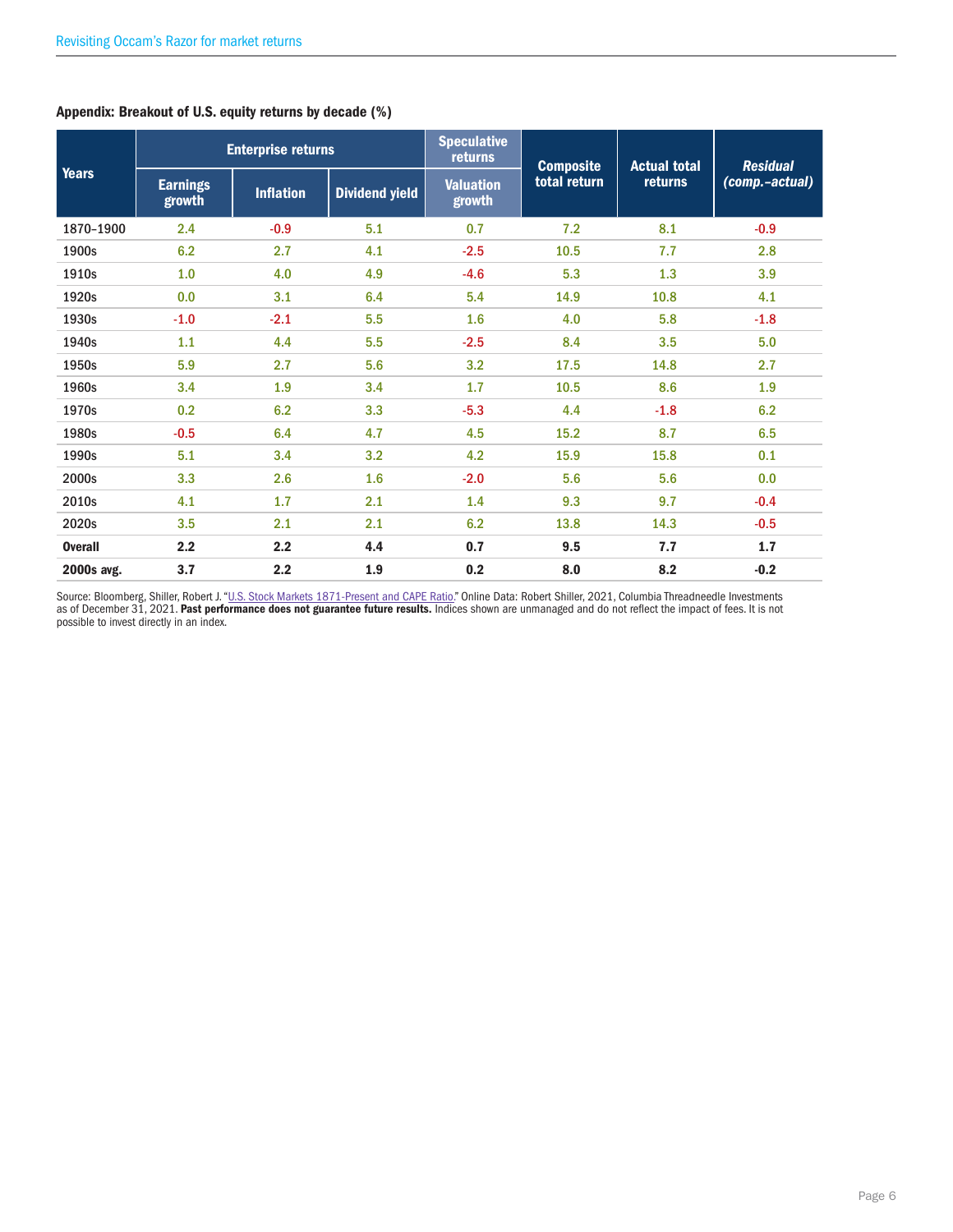| <b>Years</b>   | <b>Enterprise returns</b> |                  | <b>Speculative</b><br>returns | <b>Composite</b>           | <b>Actual total</b> | <b>Residual</b> |                |
|----------------|---------------------------|------------------|-------------------------------|----------------------------|---------------------|-----------------|----------------|
|                | <b>Earnings</b><br>growth | <b>Inflation</b> | <b>Dividend yield</b>         | <b>Valuation</b><br>growth | total return        | returns         | (comp.-actual) |
| 1870-1900      | 2.4                       | $-0.9$           | 5.1                           | 0.7                        | 7.2                 | 8.1             | $-0.9$         |
| 1900s          | 6.2                       | 2.7              | 4.1                           | $-2.5$                     | 10.5                | 7.7             | 2.8            |
| 1910s          | 1.0                       | 4.0              | 4.9                           | $-4.6$                     | 5.3                 | 1.3             | 3.9            |
| 1920s          | 0.0                       | 3.1              | 6.4                           | 5.4                        | 14.9                | 10.8            | 4.1            |
| 1930s          | $-1.0$                    | $-2.1$           | 5.5                           | 1.6                        | 4.0                 | 5.8             | $-1.8$         |
| 1940s          | 1.1                       | 4.4              | 5.5                           | $-2.5$                     | 8.4                 | 3.5             | 5.0            |
| 1950s          | 5.9                       | 2.7              | 5.6                           | 3.2                        | 17.5                | 14.8            | 2.7            |
| 1960s          | 3.4                       | 1.9              | 3.4                           | 1.7                        | 10.5                | 8.6             | 1.9            |
| 1970s          | 0.2                       | 6.2              | 3.3                           | $-5.3$                     | 4.4                 | $-1.8$          | 6.2            |
| 1980s          | $-0.5$                    | 6.4              | 4.7                           | 4.5                        | 15.2                | 8.7             | 6.5            |
| 1990s          | 5.1                       | 3.4              | 3.2                           | 4.2                        | 15.9                | 15.8            | 0.1            |
| 2000s          | 3.3                       | 2.6              | 1.6                           | $-2.0$                     | 5.6                 | 5.6             | 0.0            |
| 2010s          | 4.1                       | 1.7              | 2.1                           | 1.4                        | 9.3                 | 9.7             | $-0.4$         |
| 2020s          | 3.5                       | 2.1              | 2.1                           | 6.2                        | 13.8                | 14.3            | $-0.5$         |
| <b>Overall</b> | 2.2                       | 2.2              | 4.4                           | 0.7                        | 9.5                 | 7.7             | 1.7            |
| 2000s avg.     | 3.7                       | 2.2              | 1.9                           | 0.2                        | 8.0                 | 8.2             | $-0.2$         |

## Appendix: Breakout of U.S. equity returns by decade (%)

Source: Bloomberg, Shiller, Robert J. "<u>U.S. Stock Markets 1871-Present and CAPE Ratio</u>." Online Data: Robert Shiller, 2021, Columbia Threadneedle Investments<br>as of December 31, 2021. **Past performance does not guarantee f** possible to invest directly in an index.